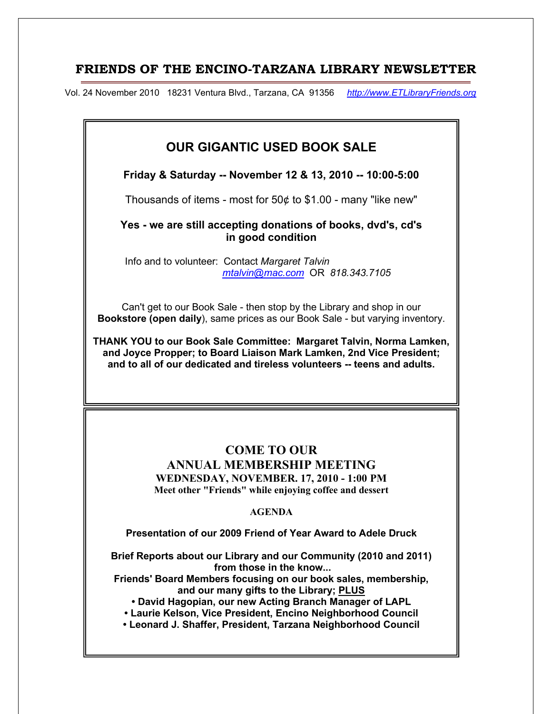# **FRIENDS OF THE ENCINO-TARZANA LIBRARY NEWSLETTER**

Vol. 24 November 2010 18231 Ventura Blvd., Tarzana, CA 91356 *[http://www.ETLibraryFriends.org](http://www.etlibraryfriends.org/)*

# **COME TO OUR ANNUAL MEMBERSHIP MEETING WEDNESDAY, NOVEMBER. 17, 2010 - 1:00 PM Meet other "Friends" while enjoying coffee and dessert AGENDA Presentation of our 2009 Friend of Year Award to Adele Druck Brief Reports about our Library and our Community (2010 and 2011) from those in the know... Friends' Board Members focusing on our book sales, membership, and our many gifts to the Library; PLUS • David Hagopian, our new Acting Branch Manager of LAPL • Laurie Kelson, Vice President, Encino Neighborhood Council • Leonard J. Shaffer, President, Tarzana Neighborhood Council OUR GIGANTIC USED BOOK SALE Friday & Saturday -- November 12 & 13, 2010 -- 10:00-5:00** Thousands of items - most for 50¢ to \$1.00 - many "like new" **Yes - we are still accepting donations of books, dvd's, cd's in good condition** Info and to volunteer: Contact *Margaret Talvin [mtalvin@mac.com](mailto:mtalvin@mac.com)* OR *818.343.7105* Can't get to our Book Sale - then stop by the Library and shop in our **Bookstore (open daily**), same prices as our Book Sale - but varying inventory. **THANK YOU to our Book Sale Committee: Margaret Talvin, Norma Lamken, and Joyce Propper; to Board Liaison Mark Lamken, 2nd Vice President; and to all of our dedicated and tireless volunteers -- teens and adults.**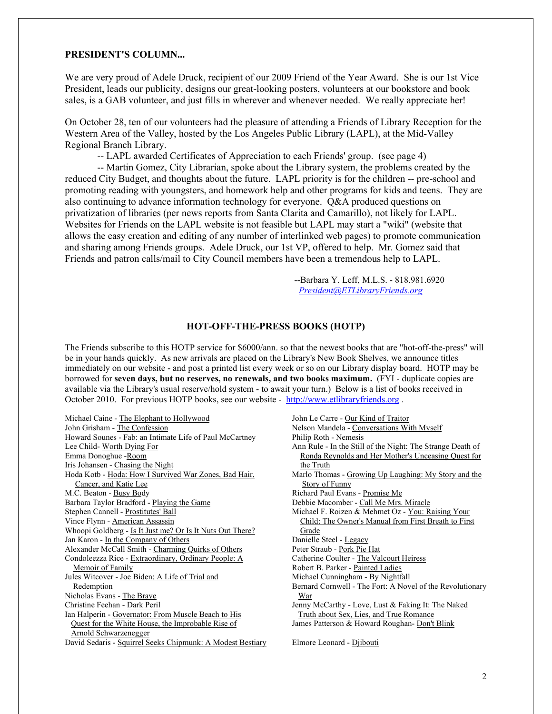## **PRESIDENT'S COLUMN...**

We are very proud of Adele Druck, recipient of our 2009 Friend of the Year Award. She is our 1st Vice President, leads our publicity, designs our great-looking posters, volunteers at our bookstore and book sales, is a GAB volunteer, and just fills in wherever and whenever needed. We really appreciate her!

On October 28, ten of our volunteers had the pleasure of attending a Friends of Library Reception for the Western Area of the Valley, hosted by the Los Angeles Public Library (LAPL), at the Mid-Valley Regional Branch Library.

-- LAPL awarded Certificates of Appreciation to each Friends' group. (see page 4)

-- Martin Gomez, City Librarian, spoke about the Library system, the problems created by the reduced City Budget, and thoughts about the future. LAPL priority is for the children -- pre-school and promoting reading with youngsters, and homework help and other programs for kids and teens. They are also continuing to advance information technology for everyone. Q&A produced questions on privatization of libraries (per news reports from Santa Clarita and Camarillo), not likely for LAPL. Websites for Friends on the LAPL website is not feasible but LAPL may start a "wiki" (website that allows the easy creation and editing of any number of interlinked web pages) to promote communication and sharing among Friends groups. Adele Druck, our 1st VP, offered to help. Mr. Gomez said that Friends and patron calls/mail to City Council members have been a tremendous help to LAPL.

> --Barbara Y. Leff, M.L.S. - 818.981.6920 *[President@ETLibraryFriends.org](mailto:President@ETLibraryFriends.org)*

## **HOT-OFF-THE-PRESS BOOKS (HOTP)**

The Friends subscribe to this HOTP service for \$6000/ann. so that the newest books that are "hot-off-the-press" will be in your hands quickly. As new arrivals are placed on the Library's New Book Shelves, we announce titles immediately on our website - and post a printed list every week or so on our Library display board. HOTP may be borrowed for **seven days, but no reserves, no renewals, and two books maximum.** (FYI - duplicate copies are available via the Library's usual reserve/hold system - to await your turn.) Below is a list of books received in October 2010. For previous HOTP books, see our website - [http://www.etlibraryfriends.org](http://www.etlibraryfriends.org/) .

| Michael Caine - The Elephant to Hollywood                  | John Le Carre - Our Kind o    |
|------------------------------------------------------------|-------------------------------|
| John Grisham - The Confession                              | Nelson Mandela - Convers      |
| Howard Sounes - Fab: an Intimate Life of Paul McCartney    | Philip Roth - Nemesis         |
| Lee Child-Worth Dying For                                  | Ann Rule - In the Still of th |
| Emma Donoghue - Room                                       | Ronda Reynolds and He         |
| Iris Johansen - Chasing the Night                          | the Truth                     |
| Hoda Kotb - Hoda: How I Survived War Zones, Bad Hair,      | Marlo Thomas - Growing I      |
| Cancer, and Katie Lee                                      | <b>Story of Funny</b>         |
| M.C. Beaton - Busy Body                                    | Richard Paul Evans - Prom     |
| Barbara Taylor Bradford - Playing the Game                 | Debbie Macomber - Call M      |
| Stephen Cannell - Prostitutes' Ball                        | Michael F. Roizen & Mehr      |
| Vince Flynn - American Assassin                            | Child: The Owner's Man        |
| Whoopi Goldberg - Is It Just me? Or Is It Nuts Out There?  | Grade                         |
| Jan Karon - In the Company of Others                       | Danielle Steel - Legacy       |
| Alexander McCall Smith - Charming Quirks of Others         | Peter Straub - Pork Pie Hat   |
| Condoleezza Rice - Extraordinary, Ordinary People: A       | Catherine Coulter - The Va    |
| Memoir of Family                                           | Robert B. Parker - Painted    |
| Jules Witcover - Joe Biden: A Life of Trial and            | Michael Cunningham - By       |
| Redemption                                                 | Bernard Cornwell - The Fo     |
| Nicholas Evans - The Brave                                 | War                           |
| Christine Feehan - Dark Peril                              | Jenny McCarthy - Love, Lt     |
| Ian Halperin - Governator: From Muscle Beach to His        | Truth about Sex, Lies, an     |
| Quest for the White House, the Improbable Rise of          | James Patterson & Howard      |
| Arnold Schwarzenegger                                      |                               |
| David Sedaris - Squirrel Seeks Chipmunk: A Modest Bestiary | Elmore Leonard - Djibouti     |

John Le Carre - Our Kind of Traitor Nelson Mandela - Conversations With Myself Philip Roth - Nemesis Ann Rule - In the Still of the Night: The Strange Death of Ronda Reynolds and Her Mother's Unceasing Quest for the Truth Marlo Thomas - Growing Up Laughing: My Story and the Story of Funny Richard Paul Evans - Promise Me Debbie Macomber - Call Me Mrs. Miracle Michael F. Roizen & Mehmet Oz - You: Raising Your Child: The Owner's Manual from First Breath to First Grade Danielle Steel - Legacy Peter Straub - Pork Pie Hat Catherine Coulter - The Valcourt Heiress Robert B. Parker - Painted Ladies Michael Cunningham - By Nightfall Bernard Cornwell - The Fort: A Novel of the Revolutionary War Jenny McCarthy - Love, Lust & Faking It: The Naked Truth about Sex, Lies, and True Romance James Patterson & Howard Roughan- Don't Blink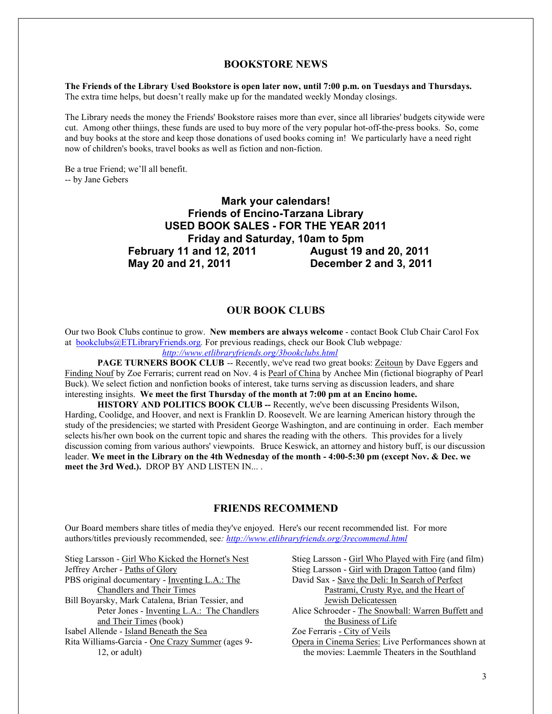## **BOOKSTORE NEWS**

**The Friends of the Library Used Bookstore is open later now, until 7:00 p.m. on Tuesdays and Thursdays.** The extra time helps, but doesn't really make up for the mandated weekly Monday closings.

The Library needs the money the Friends' Bookstore raises more than ever, since all libraries' budgets citywide were cut. Among other thiings, these funds are used to buy more of the very popular hot-off-the-press books. So, come and buy books at the store and keep those donations of used books coming in! We particularly have a need right now of children's books, travel books as well as fiction and non-fiction.

Be a true Friend; we'll all benefit. -- by Jane Gebers

> **Mark your calendars! Friends of Encino-Tarzana Library USED BOOK SALES - FOR THE YEAR 2011 Friday and Saturday, 10am to 5pm February 11 and 12, 2011 May 20 and 21, 2011 August 19 and 20, 2011 December 2 and 3, 2011**

## **OUR BOOK CLUBS**

Our two Book Clubs continue to grow. **New members are always welcome** - contact Book Club Chair Carol Fox at [bookclubs@ETLibraryFriends.org](mailto:bookclubs@ETLibraryFriends.org)*.* For previous readings, check our Book Club webpage*: <http://www.etlibraryfriends.org/3bookclubs.html>*

**PAGE TURNERS BOOK CLUB** -- Recently, we've read two great books: Zeitoun by Dave Eggers and Finding Nouf by Zoe Ferraris; current read on Nov. 4 is Pearl of China by Anchee Min (fictional biography of Pearl Buck). We select fiction and nonfiction books of interest, take turns serving as discussion leaders, and share interesting insights. **We meet the first Thursday of the month at 7:00 pm at an Encino home.**

**HISTORY AND POLITICS BOOK CLUB --** Recently, we've been discussing Presidents Wilson, Harding, Coolidge, and Hoover, and next is Franklin D. Roosevelt. We are learning American history through the study of the presidencies; we started with President George Washington, and are continuing in order. Each member selects his/her own book on the current topic and shares the reading with the others. This provides for a lively discussion coming from various authors' viewpoints. Bruce Keswick, an attorney and history buff, is our discussion leader. **We meet in the Library on the 4th Wednesday of the month - 4:00-5:30 pm (except Nov. & Dec. we meet the 3rd Wed.).** DROP BY AND LISTEN IN... .

## **FRIENDS RECOMMEND**

Our Board members share titles of media they've enjoyed. Here's our recent recommended list. For more authors/titles previously recommended, see*:<http://www.etlibraryfriends.org/3recommend.html>*

Stieg Larsson - Girl Who Kicked the Hornet's Nest Jeffrey Archer - Paths of Glory PBS original documentary - Inventing L.A.: The Chandlers and Their Times Bill Boyarsky, Mark Catalena, Brian Tessier, and Peter Jones - Inventing L.A.: The Chandlers and Their Times (book) Isabel Allende - Island Beneath the Sea Rita Williams-Garcia - One Crazy Summer (ages 9- 12, or adult)

Stieg Larsson - Girl Who Played with Fire (and film) Stieg Larsson - Girl with Dragon Tattoo (and film) David Sax - Save the Deli: In Search of Perfect Pastrami, Crusty Rye, and the Heart of Jewish Delicatessen Alice Schroeder - The Snowball: Warren Buffett and

the Business of Life

Zoe Ferraris - City of Veils

Opera in Cinema Series: Live Performances shown at the movies: Laemmle Theaters in the Southland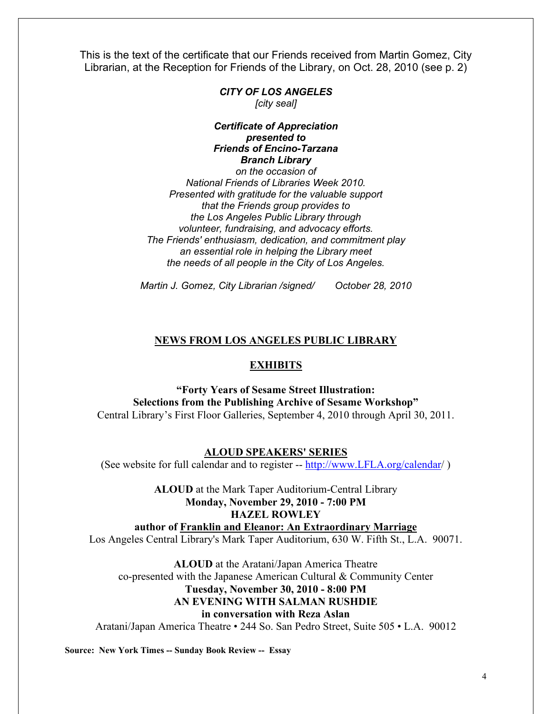This is the text of the certificate that our Friends received from Martin Gomez, City Librarian, at the Reception for Friends of the Library, on Oct. 28, 2010 (see p. 2)

> *CITY OF LOS ANGELES [city seal]*

*Certificate of Appreciation presented to Friends of Encino-Tarzana Branch Library*

*on the occasion of National Friends of Libraries Week 2010. Presented with gratitude for the valuable support that the Friends group provides to the Los Angeles Public Library through volunteer, fundraising, and advocacy efforts. The Friends' enthusiasm, dedication, and commitment play an essential role in helping the Library meet the needs of all people in the City of Los Angeles.*

*Martin J. Gomez, City Librarian /signed/ October 28, 2010*

## **NEWS FROM LOS ANGELES PUBLIC LIBRARY**

## **EXHIBITS**

**"Forty Years of Sesame Street Illustration: Selections from the Publishing Archive of Sesame Workshop"** Central Library's First Floor Galleries, September 4, 2010 through April 30, 2011.

**ALOUD SPEAKERS' SERIES**  (See website for full calendar and to register -- [http://www.LFLA.org/calendar/](http://www.lfla.org/calendar) )

> **ALOUD** at the Mark Taper Auditorium-Central Library **Monday, November 29, 2010 - 7:00 PM HAZEL ROWLEY**

**author of Franklin and Eleanor: An Extraordinary Marriage** Los Angeles Central Library's Mark Taper Auditorium, 630 W. Fifth St., L.A. 90071.

**ALOUD** at the Aratani/Japan America Theatre co-presented with the Japanese American Cultural & Community Center **Tuesday, November 30, 2010 - 8:00 PM AN EVENING WITH SALMAN RUSHDIE in conversation with Reza Aslan**

Aratani/Japan America Theatre • 244 So. San Pedro Street, Suite 505 • L.A. 90012

**Source: New York Times -- Sunday Book Review -- Essay**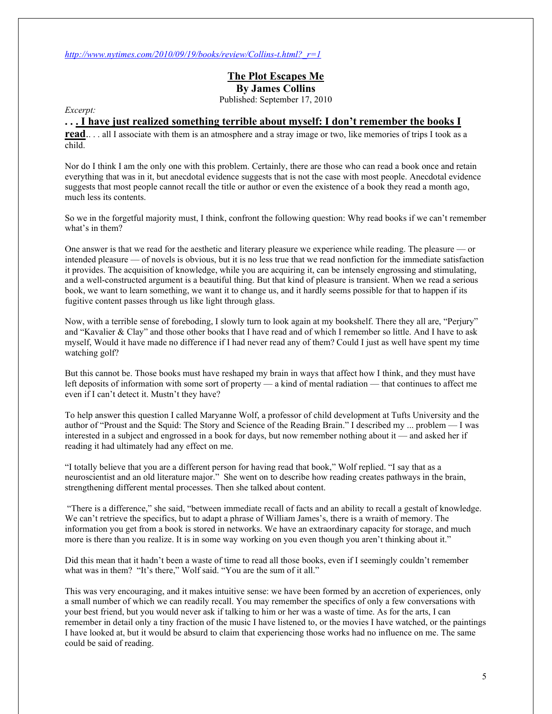*[http://www.nytimes.com/2010/09/19/books/review/Collins-t.html?\\_r=1](http://www.nytimes.com/2010/09/19/books/review/Collins-t.html?_r=1)*

# **The Plot Escapes Me By James Collins**

Published: September 17, 2010

*Excerpt:* 

## **. . . I have just realized something terrible about myself: I don't remember the books I**

**read**.. . . all I associate with them is an atmosphere and a stray image or two, like memories of trips I took as a child.

Nor do I think I am the only one with this problem. Certainly, there are those who can read a book once and retain everything that was in it, but anecdotal evidence suggests that is not the case with most people. Anecdotal evidence suggests that most people cannot recall the title or author or even the existence of a book they read a month ago, much less its contents.

So we in the forgetful majority must, I think, confront the following question: Why read books if we can't remember what's in them?

One answer is that we read for the aesthetic and literary pleasure we experience while reading. The pleasure — or intended pleasure — of novels is obvious, but it is no less true that we read nonfiction for the immediate satisfaction it provides. The acquisition of knowledge, while you are acquiring it, can be intensely engrossing and stimulating, and a well-constructed argument is a beautiful thing. But that kind of pleasure is transient. When we read a serious book, we want to learn something, we want it to change us, and it hardly seems possible for that to happen if its fugitive content passes through us like light through glass.

Now, with a terrible sense of foreboding, I slowly turn to look again at my bookshelf. There they all are, "Perjury" and "Kavalier & Clay" and those other books that I have read and of which I remember so little. And I have to ask myself, Would it have made no difference if I had never read any of them? Could I just as well have spent my time watching golf?

But this cannot be. Those books must have reshaped my brain in ways that affect how I think, and they must have left deposits of information with some sort of property — a kind of mental radiation — that continues to affect me even if I can't detect it. Mustn't they have?

To help answer this question I called Maryanne Wolf, a professor of child development at Tufts University and the author of "Proust and the Squid: The Story and Science of the Reading Brain." I described my ... problem — I was interested in a subject and engrossed in a book for days, but now remember nothing about it — and asked her if reading it had ultimately had any effect on me.

"I totally believe that you are a different person for having read that book," Wolf replied. "I say that as a neuroscientist and an old literature major." She went on to describe how reading creates pathways in the brain, strengthening different mental processes. Then she talked about content.

"There is a difference," she said, "between immediate recall of facts and an ability to recall a gestalt of knowledge. We can't retrieve the specifics, but to adapt a phrase of William James's, there is a wraith of memory. The information you get from a book is stored in networks. We have an extraordinary capacity for storage, and much more is there than you realize. It is in some way working on you even though you aren't thinking about it."

Did this mean that it hadn't been a waste of time to read all those books, even if I seemingly couldn't remember what was in them? "It's there," Wolf said. "You are the sum of it all."

This was very encouraging, and it makes intuitive sense: we have been formed by an accretion of experiences, only a small number of which we can readily recall. You may remember the specifics of only a few conversations with your best friend, but you would never ask if talking to him or her was a waste of time. As for the arts, I can remember in detail only a tiny fraction of the music I have listened to, or the movies I have watched, or the paintings I have looked at, but it would be absurd to claim that experiencing those works had no influence on me. The same could be said of reading.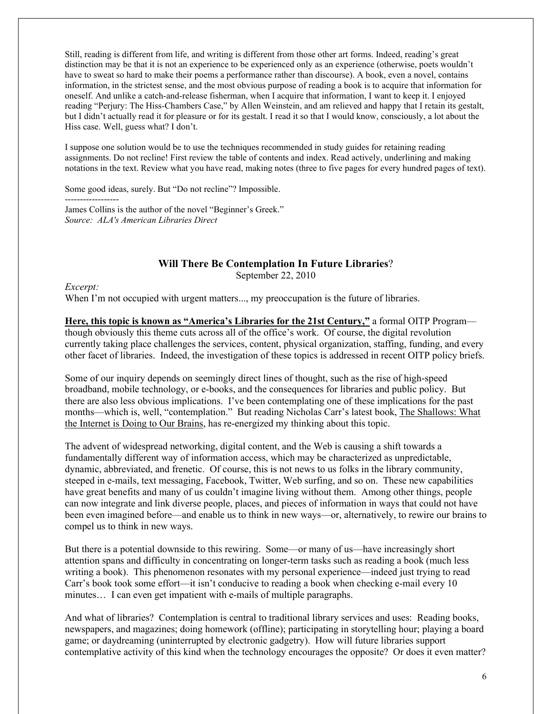Still, reading is different from life, and writing is different from those other art forms. Indeed, reading's great distinction may be that it is not an experience to be experienced only as an experience (otherwise, poets wouldn't have to sweat so hard to make their poems a performance rather than discourse). A book, even a novel, contains information, in the strictest sense, and the most obvious purpose of reading a book is to acquire that information for oneself. And unlike a catch-and-release fisherman, when I acquire that information, I want to keep it. I enjoyed reading "Perjury: The Hiss-Chambers Case," by Allen Weinstein, and am relieved and happy that I retain its gestalt, but I didn't actually read it for pleasure or for its gestalt. I read it so that I would know, consciously, a lot about the Hiss case. Well, guess what? I don't.

I suppose one solution would be to use the techniques recommended in study guides for retaining reading assignments. Do not recline! First review the table of contents and index. Read actively, underlining and making notations in the text. Review what you have read, making notes (three to five pages for every hundred pages of text).

Some good ideas, surely. But "Do not recline"? Impossible. ------------------ James Collins is the author of the novel "Beginner's Greek."

*Source: ALA's American Libraries Direct* 

# **Will There Be Contemplation In Future Libraries**?

September 22, 2010

*Excerpt:*

When I'm not occupied with urgent matters..., my preoccupation is the future of libraries.

**Here, this topic is known as "America's Libraries for the 21st Century,"** a formal OITP Program though obviously this theme cuts across all of the office's work. Of course, the digital revolution currently taking place challenges the services, content, physical organization, staffing, funding, and every other facet of libraries. Indeed, the investigation of these topics is addressed in recent OITP policy briefs.

Some of our inquiry depends on seemingly direct lines of thought, such as the rise of high-speed broadband, mobile technology, or e-books, and the consequences for libraries and public policy. But there are also less obvious implications. I've been contemplating one of these implications for the past months—which is, well, "contemplation." But reading Nicholas Carr's latest book, The Shallows: What the Internet is Doing to Our Brains, has re-energized my thinking about this topic.

The advent of widespread networking, digital content, and the Web is causing a shift towards a fundamentally different way of information access, which may be characterized as unpredictable, dynamic, abbreviated, and frenetic. Of course, this is not news to us folks in the library community, steeped in e-mails, text messaging, Facebook, Twitter, Web surfing, and so on. These new capabilities have great benefits and many of us couldn't imagine living without them. Among other things, people can now integrate and link diverse people, places, and pieces of information in ways that could not have been even imagined before—and enable us to think in new ways—or, alternatively, to rewire our brains to compel us to think in new ways.

But there is a potential downside to this rewiring. Some—or many of us—have increasingly short attention spans and difficulty in concentrating on longer-term tasks such as reading a book (much less writing a book). This phenomenon resonates with my personal experience—indeed just trying to read Carr's book took some effort—it isn't conducive to reading a book when checking e-mail every 10 minutes… I can even get impatient with e-mails of multiple paragraphs.

And what of libraries? Contemplation is central to traditional library services and uses: Reading books, newspapers, and magazines; doing homework (offline); participating in storytelling hour; playing a board game; or daydreaming (uninterrupted by electronic gadgetry). How will future libraries support contemplative activity of this kind when the technology encourages the opposite? Or does it even matter?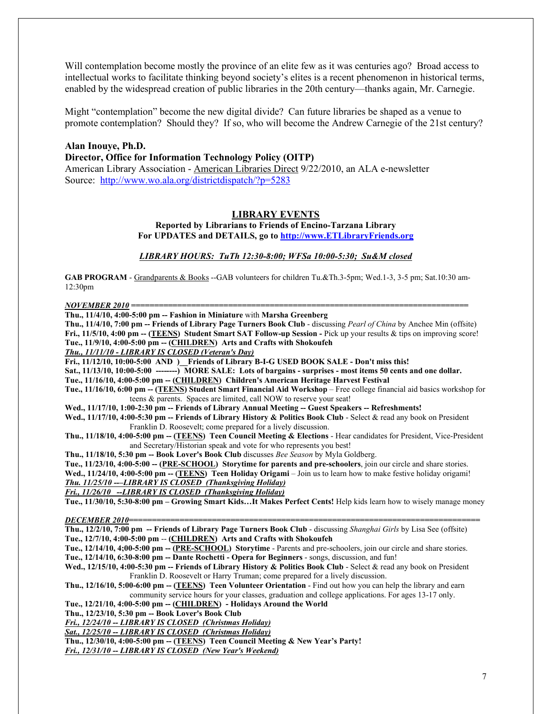Will contemplation become mostly the province of an elite few as it was centuries ago? Broad access to intellectual works to facilitate thinking beyond society's elites is a recent phenomenon in historical terms, enabled by the widespread creation of public libraries in the 20th century—thanks again, Mr. Carnegie.

Might "contemplation" become the new digital divide? Can future libraries be shaped as a venue to promote contemplation? Should they? If so, who will become the Andrew Carnegie of the 21st century?

**Alan Inouye, Ph.D. Director, Office for Information Technology Policy (OITP)** American Library Association - American Libraries Direct 9/22/2010, an ALA e-newsletter Source: <http://www.wo.ala.org/districtdispatch/?p=5283>

#### **LIBRARY EVENTS**

**Reported by Librarians to Friends of Encino-Tarzana Library For UPDATES and DETAILS, go to [http://www.ETLibraryFriends.org](http://www.etlibraryfriends.org/)**

#### *LIBRARY HOURS: TuTh 12:30-8:00; WFSa 10:00-5:30; Su&M closed*

GAB PROGRAM - Grandparents & Books --GAB volunteers for children Tu.&Th.3-5pm; Wed.1-3, 3-5 pm; Sat.10:30 am-12:30pm

*NOVEMBER 2010* **========================================================================= Thu., 11/4/10, 4:00-5:00 pm -- Fashion in Miniature** with **Marsha Greenberg Thu., 11/4/10, 7:00 pm -- Friends of Library Page Turners Book Club** - discussing *Pearl of China* by Anchee Min (offsite) **Fri., 11/5/10, 4:00 pm -- (TEENS) Student Smart SAT Follow-up Session -** Pick up your results & tips on improving score! **Tue., 11/9/10, 4:00-5:00 pm -- (CHILDREN) Arts and Crafts with Shokoufeh**  *Thu., 11/11/10 - LIBRARY IS CLOSED (Veteran's Day)*  **Fri., 11/12/10, 10:00-5:00 AND )\_\_Friends of Library B-I-G USED BOOK SALE - Don't miss this! Sat., 11/13/10, 10:00-5:00 --------) MORE SALE: Lots of bargains - surprises - most items 50 cents and one dollar. Tue., 11/16/10, 4:00-5:00 pm -- (CHILDREN) Children's American Heritage Harvest Festival Tue., 11/16/10, 6:00 pm -- (TEENS) Student Smart Financial Aid Workshop** – Free college financial aid basics workshop for teens & parents. Spaces are limited, call NOW to reserve your seat! **Wed., 11/17/10, 1:00-2:30 pm -- Friends of Library Annual Meeting -- Guest Speakers -- Refreshments! Wed., 11/17/10, 4:00-5:30 pm -- Friends of Library History & Politics Book Club** - Select & read any book on President Franklin D. Roosevelt; come prepared for a lively discussion. Thu., 11/18/10, 4:00-5:00 pm -- (TEENS) Teen Council Meeting & Elections - Hear candidates for President, Vice-President and Secretary/Historian speak and vote for who represents you best! **Thu., 11/18/10, 5:30 pm -- Book Lover's Book Club** discusses *Bee Season* by Myla Goldberg. **Tue., 11/23/10, 4:00-5:00 -- (PRE-SCHOOL) Storytime for parents and pre-schoolers**, join our circle and share stories. **Wed., 11/24/10, 4:00-5:00 pm -- (TEENS) Teen Holiday Origami** – Join us to learn how to make festive holiday origami! *Thu. 11/25/10 --–LIBRARY IS CLOSED (Thanksgiving Holiday) Fri., 11/26/10 --LIBRARY IS CLOSED (Thanksgiving Holiday)* **Tue., 11/30/10, 5:30-8:00 pm – Growing Smart Kids…It Makes Perfect Cents!** Help kids learn how to wisely manage money *DECEMBER 2010============================================================================* **Thu., 12/2/10, 7:00 pm -- Friends of Library Page Turners Book Club** - discussing *Shanghai Girls* by Lisa See (offsite) **Tue., 12/7/10, 4:00-5:00 pm** -- **(CHILDREN) Arts and Crafts with Shokoufeh Tue., 12/14/10, 4;00-5:00 pm -- (PRE-SCHOOL) Storytime** - Parents and pre-schoolers, join our circle and share stories. **Tue., 12/14/10, 6:30-8:00 pm -- Dante Rochetti - Opera for Beginners** - songs, discussion, and fun! **Wed., 12/15/10, 4:00-5:30 pm -- Friends of Library History & Politics Book Club** - Select & read any book on President Franklin D. Roosevelt or Harry Truman; come prepared for a lively discussion. Thu., 12/16/10, 5:00-6:00 pm -- (TEENS) Teen Volunteer Orientation - Find out how you can help the library and earn community service hours for your classes, graduation and college applications. For ages 13-17 only. **Tue., 12/21/10, 4:00-5:00 pm -- (CHILDREN) - Holidays Around the World Thu., 12/23/10, 5:30 pm -- Book Lover's Book Club** *Fri., 12/24/10 -- LIBRARY IS CLOSED (Christmas Holiday) Sat., 12/25/10 -- LIBRARY IS CLOSED (Christmas Holiday)* **Thu., 12/30/10, 4:00-5:00 pm -- (TEENS) Teen Council Meeting & New Year's Party!** *Fri., 12/31/10 -- LIBRARY IS CLOSED (New Year's Weekend)*